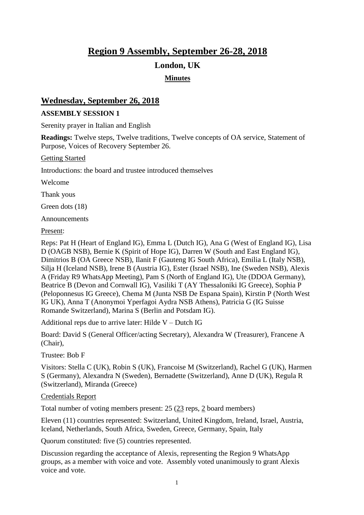# **Region 9 Assembly, September 26-28, 2018**

## **London, UK**

## **Minutes**

# **Wednesday, September 26, 2018**

#### **ASSEMBLY SESSION 1**

Serenity prayer in Italian and English

**Readings:** Twelve steps, Twelve traditions, Twelve concepts of OA service, Statement of Purpose, Voices of Recovery September 26.

Getting Started

Introductions: the board and trustee introduced themselves

Welcome

Thank yous

Green dots (18)

Announcements

Present:

Reps: Pat H (Heart of England IG), Emma L (Dutch IG), Ana G (West of England IG), Lisa D (OAGB NSB), Bernie K (Spirit of Hope IG), Darren W (South and East England IG), Dimitrios B (OA Greece NSB), Ilanit F (Gauteng IG South Africa), Emilia L (Italy NSB), Silja H (Iceland NSB), Irene B (Austria IG), Ester (Israel NSB), Ine (Sweden NSB), Alexis A (Friday R9 WhatsApp Meeting), Pam S (North of England IG), Ute (DDOA Germany), Beatrice B (Devon and Cornwall IG), Vasiliki T (AY Thessaloniki IG Greece), Sophia P (Peloponnesus IG Greece), Chema M (Junta NSB De Espana Spain), Kirstin P (North West IG UK), Anna T (Anonymoi Yperfagoi Aydra NSB Athens), Patricia G (IG Suisse Romande Switzerland), Marina S (Berlin and Potsdam IG).

Additional reps due to arrive later: Hilde V – Dutch IG

Board: David S (General Officer/acting Secretary), Alexandra W (Treasurer), Francene A (Chair),

Trustee: Bob F

Visitors: Stella C (UK), Robin S (UK), Francoise M (Switzerland), Rachel G (UK), Harmen S (Germany), Alexandra N (Sweden), Bernadette (Switzerland), Anne D (UK), Regula R (Switzerland), Miranda (Greece)

#### Credentials Report

Total number of voting members present: 25 (23 reps, 2 board members)

Eleven (11) countries represented: Switzerland, United Kingdom, Ireland, Israel, Austria, Iceland, Netherlands, South Africa, Sweden, Greece, Germany, Spain, Italy

Quorum constituted: five (5) countries represented.

Discussion regarding the acceptance of Alexis, representing the Region 9 WhatsApp groups, as a member with voice and vote. Assembly voted unanimously to grant Alexis voice and vote.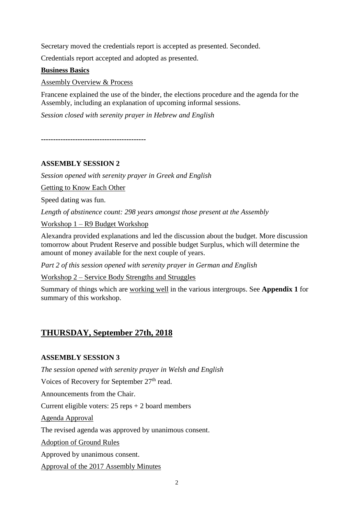Secretary moved the credentials report is accepted as presented. Seconded.

Credentials report accepted and adopted as presented.

#### **Business Basics**

Assembly Overview & Process

Francene explained the use of the binder, the elections procedure and the agenda for the Assembly, including an explanation of upcoming informal sessions.

*Session closed with serenity prayer in Hebrew and English*

**-------------------------------------------**

#### **ASSEMBLY SESSION 2**

*Session opened with serenity prayer in Greek and English*

Getting to Know Each Other

Speed dating was fun.

*Length of abstinence count: 298 years amongst those present at the Assembly*

Workshop 1 – R9 Budget Workshop

Alexandra provided explanations and led the discussion about the budget. More discussion tomorrow about Prudent Reserve and possible budget Surplus, which will determine the amount of money available for the next couple of years.

*Part 2 of this session opened with serenity prayer in German and English*

Workshop 2 – Service Body Strengths and Struggles

Summary of things which are working well in the various intergroups. See **Appendix 1** for summary of this workshop.

# **THURSDAY, September 27th, 2018**

#### **ASSEMBLY SESSION 3**

*The session opened with serenity prayer in Welsh and English*

Voices of Recovery for September 27<sup>th</sup> read.

Announcements from the Chair.

Current eligible voters:  $25$  reps  $+ 2$  board members

Agenda Approval

The revised agenda was approved by unanimous consent.

Adoption of Ground Rules

Approved by unanimous consent.

Approval of the 2017 Assembly Minutes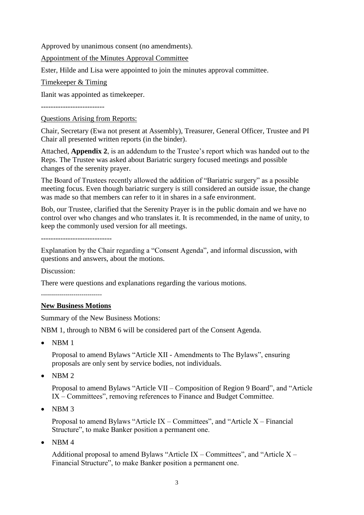Approved by unanimous consent (no amendments).

Appointment of the Minutes Approval Committee

Ester, Hilde and Lisa were appointed to join the minutes approval committee.

Timekeeper & Timing

Ilanit was appointed as timekeeper.

--------------------------

Questions Arising from Reports:

Chair, Secretary (Ewa not present at Assembly), Treasurer, General Officer, Trustee and PI Chair all presented written reports (in the binder).

Attached, **Appendix 2**, is an addendum to the Trustee's report which was handed out to the Reps. The Trustee was asked about Bariatric surgery focused meetings and possible changes of the serenity prayer.

The Board of Trustees recently allowed the addition of "Bariatric surgery" as a possible meeting focus. Even though bariatric surgery is still considered an outside issue, the change was made so that members can refer to it in shares in a safe environment.

Bob, our Trustee, clarified that the Serenity Prayer is in the public domain and we have no control over who changes and who translates it. It is recommended, in the name of unity, to keep the commonly used version for all meetings.

-----------------------------

Explanation by the Chair regarding a "Consent Agenda", and informal discussion, with questions and answers, about the motions.

Discussion:

There were questions and explanations regarding the various motions.

 $-$ 

#### **New Business Motions**

Summary of the New Business Motions:

NBM 1, through to NBM 6 will be considered part of the Consent Agenda.

• NBM 1

Proposal to amend Bylaws "Article XII - Amendments to The Bylaws", ensuring proposals are only sent by service bodies, not individuals.

• NBM 2

Proposal to amend Bylaws "Article VII – Composition of Region 9 Board", and "Article IX – Committees", removing references to Finance and Budget Committee.

• NBM 3

Proposal to amend Bylaws "Article IX – Committees", and "Article X – Financial Structure", to make Banker position a permanent one.

 $\bullet$  NBM 4

Additional proposal to amend Bylaws "Article IX – Committees", and "Article  $X -$ Financial Structure", to make Banker position a permanent one.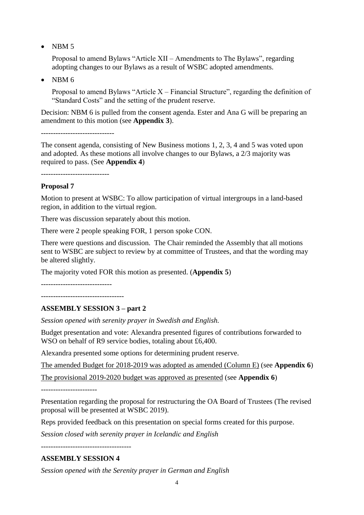• NBM 5

Proposal to amend Bylaws "Article XII – Amendments to The Bylaws", regarding adopting changes to our Bylaws as a result of WSBC adopted amendments.

• NBM 6

Proposal to amend Bylaws "Article  $X - F$ inancial Structure", regarding the definition of "Standard Costs" and the setting of the prudent reserve.

Decision: NBM 6 is pulled from the consent agenda. Ester and Ana G will be preparing an amendment to this motion (see **Appendix 3**).

------------------------------

The consent agenda, consisting of New Business motions 1, 2, 3, 4 and 5 was voted upon and adopted. As these motions all involve changes to our Bylaws, a 2/3 majority was required to pass. (See **Appendix 4**)

----------------------------

#### **Proposal 7**

Motion to present at WSBC: To allow participation of virtual intergroups in a land-based region, in addition to the virtual region.

There was discussion separately about this motion.

There were 2 people speaking FOR, 1 person spoke CON.

There were questions and discussion. The Chair reminded the Assembly that all motions sent to WSBC are subject to review by at committee of Trustees, and that the wording may be altered slightly.

The majority voted FOR this motion as presented. (**Appendix 5**)

-----------------------------

----------------------------------

## **ASSEMBLY SESSION 3 – part 2**

*Session opened with serenity prayer in Swedish and English.*

Budget presentation and vote: Alexandra presented figures of contributions forwarded to WSO on behalf of R9 service bodies, totaling about £6,400.

Alexandra presented some options for determining prudent reserve.

The amended Budget for 2018-2019 was adopted as amended (Column E) (see **Appendix 6**)

The provisional 2019-2020 budget was approved as presented (see **Appendix 6**)

-----------------------

Presentation regarding the proposal for restructuring the OA Board of Trustees (The revised proposal will be presented at WSBC 2019).

Reps provided feedback on this presentation on special forms created for this purpose.

*Session closed with serenity prayer in Icelandic and English*

-------------------------------------

## **ASSEMBLY SESSION 4**

*Session opened with the Serenity prayer in German and English*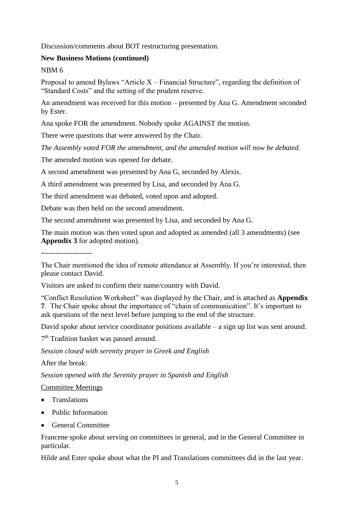Discussion/comments about BOT restructuring presentation.

#### **New Business Motions (continued)**

NBM 6

Proposal to amend Bylaws "Article  $X - F$ inancial Structure", regarding the definition of "Standard Costs" and the setting of the prudent reserve.

An amendment was received for this motion – presented by Ana G. Amendment seconded by Ester.

Ana spoke FOR the amendment. Nobody spoke AGAINST the motion.

There were questions that were answered by the Chair.

*The Assembly voted FOR the amendment, and the amended motion will now be debated.*

The amended motion was opened for debate.

A second amendment was presented by Ana G, seconded by Alexis.

A third amendment was presented by Lisa, and seconded by Ana G.

The third amendment was debated, voted upon and adopted.

Debate was then held on the second amendment.

The second amendment was presented by Lisa, and seconded by Ana G.

The main motion was then voted upon and adopted as amended (all 3 amendments) (see **Appendix 3** for adopted motion).

---------------------

The Chair mentioned the idea of remote attendance at Assembly. If you're interested, then please contact David.

Visitors are asked to confirm their name/country with David.

"Conflict Resolution Worksheet" was displayed by the Chair, and is attached as **Appendix 7**. The Chair spoke about the importance of "chain of communication". It's important to ask questions of the next level before jumping to the end of the structure.

David spoke about service coordinator positions available – a sign up list was sent around.

7<sup>th</sup> Tradition basket was passed around.

*Session closed with serenity prayer in Greek and English*

After the break:

*Session opened with the Serenity prayer in Spanish and English*

Committee Meetings

- Translations
- Public Information
- General Committee

Francene spoke about serving on committees in general, and in the General Committee in particular.

Hilde and Ester spoke about what the PI and Translations committees did in the last year.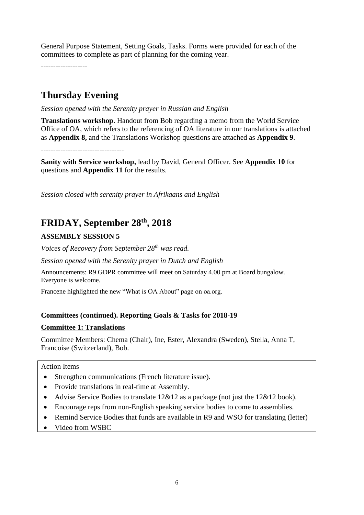General Purpose Statement, Setting Goals, Tasks. Forms were provided for each of the committees to complete as part of planning for the coming year.

**-------------------**

# **Thursday Evening**

*Session opened with the Serenity prayer in Russian and English*

**Translations workshop**. Handout from Bob regarding a memo from the World Service Office of OA, which refers to the referencing of OA literature in our translations is attached as **Appendix 8,** and the Translations Workshop questions are attached as **Appendix 9**.

----------------------------------

**Sanity with Service workshop,** lead by David, General Officer. See **Appendix 10** for questions and **Appendix 11** for the results.

*Session closed with serenity prayer in Afrikaans and English*

# **FRIDAY, September 28th, 2018**

## **ASSEMBLY SESSION 5**

*Voices of Recovery from September 28th was read.*

*Session opened with the Serenity prayer in Dutch and English*

Announcements: R9 GDPR committee will meet on Saturday 4.00 pm at Board bungalow. Everyone is welcome.

Francene highlighted the new "What is OA About" page on oa.org.

#### **Committees (continued). Reporting Goals & Tasks for 2018-19**

#### **Committee 1: Translations**

Committee Members: Chema (Chair), Ine, Ester, Alexandra (Sweden), Stella, Anna T, Francoise (Switzerland), Bob.

#### Action Items

- Strengthen communications (French literature issue).
- Provide translations in real-time at Assembly.
- Advise Service Bodies to translate 12&12 as a package (not just the 12&12 book).
- Encourage reps from non-English speaking service bodies to come to assemblies.
- Remind Service Bodies that funds are available in R9 and WSO for translating (letter)
- Video from WSBC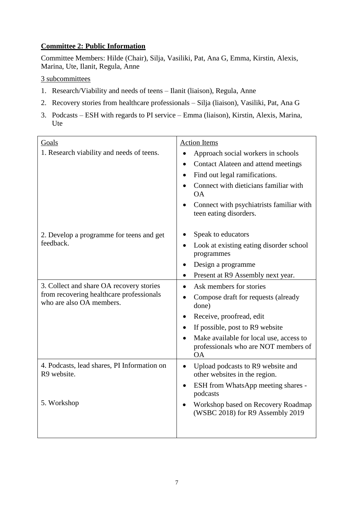## **Committee 2: Public Information**

Committee Members: Hilde (Chair), Silja, Vasiliki, Pat, Ana G, Emma, Kirstin, Alexis, Marina, Ute, Ilanit, Regula, Anne

#### 3 subcommittees

- 1. Research/Viability and needs of teens Ilanit (liaison), Regula, Anne
- 2. Recovery stories from healthcare professionals Silja (liaison), Vasiliki, Pat, Ana G
- 3. Podcasts ESH with regards to PI service Emma (liaison), Kirstin, Alexis, Marina, Ute

| Goals                                                                                                            | <b>Action Items</b>                                                                          |
|------------------------------------------------------------------------------------------------------------------|----------------------------------------------------------------------------------------------|
| 1. Research viability and needs of teens.                                                                        | Approach social workers in schools                                                           |
|                                                                                                                  | Contact Alateen and attend meetings<br>$\bullet$                                             |
|                                                                                                                  | Find out legal ramifications.                                                                |
|                                                                                                                  | Connect with dieticians familiar with<br><b>OA</b>                                           |
|                                                                                                                  | Connect with psychiatrists familiar with<br>teen eating disorders.                           |
| 2. Develop a programme for teens and get<br>feedback.                                                            | Speak to educators                                                                           |
|                                                                                                                  | Look at existing eating disorder school<br>programmes                                        |
|                                                                                                                  | Design a programme                                                                           |
|                                                                                                                  | Present at R9 Assembly next year.<br>$\bullet$                                               |
| 3. Collect and share OA recovery stories<br>from recovering healthcare professionals<br>who are also OA members. | Ask members for stories                                                                      |
|                                                                                                                  | Compose draft for requests (already<br>done)                                                 |
|                                                                                                                  | Receive, proofread, edit                                                                     |
|                                                                                                                  | If possible, post to R9 website                                                              |
|                                                                                                                  | Make available for local use, access to<br>professionals who are NOT members of<br><b>OA</b> |
| 4. Podcasts, lead shares, PI Information on<br>R9 website.                                                       | Upload podcasts to R9 website and<br>$\bullet$<br>other websites in the region.              |
|                                                                                                                  | ESH from WhatsApp meeting shares -<br>$\bullet$<br>podcasts                                  |
| 5. Workshop                                                                                                      | Workshop based on Recovery Roadmap<br>(WSBC 2018) for R9 Assembly 2019                       |
|                                                                                                                  |                                                                                              |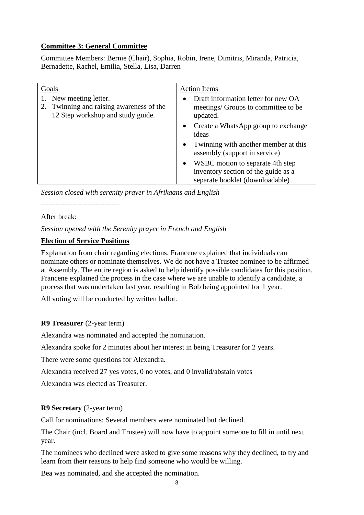#### **Committee 3: General Committee**

Committee Members: Bernie (Chair), Sophia, Robin, Irene, Dimitris, Miranda, Patricia, Bernadette, Rachel, Emilia, Stella, Lisa, Darren

| Goals                                                                                                      | <b>Action</b> Items                                                                    |
|------------------------------------------------------------------------------------------------------------|----------------------------------------------------------------------------------------|
| 1. New meeting letter.<br>Twinning and raising awareness of the<br>2.<br>12 Step workshop and study guide. | Draft information letter for new OA<br>meetings/ Groups to committee to be<br>updated. |
|                                                                                                            | Create a WhatsApp group to exchange<br>$\bullet$<br>ideas                              |
|                                                                                                            | Twinning with another member at this<br>$\bullet$<br>assembly (support in service)     |
|                                                                                                            | WSBC motion to separate 4th step                                                       |
|                                                                                                            | inventory section of the guide as a<br>separate booklet (downloadable)                 |

*Session closed with serenity prayer in Afrikaans and English*

**--------------------------------**

After break:

*Session opened with the Serenity prayer in French and English*

#### **Election of Service Positions**

Explanation from chair regarding elections. Francene explained that individuals can nominate others or nominate themselves. We do not have a Trustee nominee to be affirmed at Assembly. The entire region is asked to help identify possible candidates for this position. Francene explained the process in the case where we are unable to identify a candidate, a process that was undertaken last year, resulting in Bob being appointed for 1 year.

All voting will be conducted by written ballot.

#### **R9 Treasurer** (2-year term)

Alexandra was nominated and accepted the nomination.

Alexandra spoke for 2 minutes about her interest in being Treasurer for 2 years.

There were some questions for Alexandra.

Alexandra received 27 yes votes, 0 no votes, and 0 invalid/abstain votes

Alexandra was elected as Treasurer.

#### **R9 Secretary** (2-year term)

Call for nominations: Several members were nominated but declined.

The Chair (incl. Board and Trustee) will now have to appoint someone to fill in until next year.

The nominees who declined were asked to give some reasons why they declined, to try and learn from their reasons to help find someone who would be willing.

Bea was nominated, and she accepted the nomination.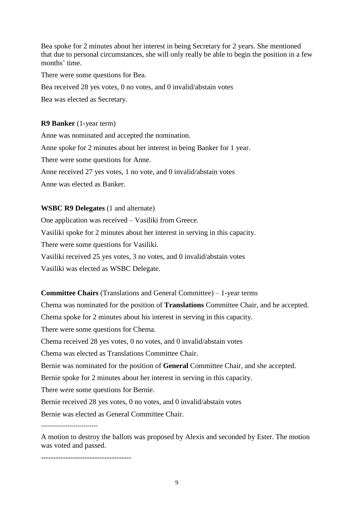Bea spoke for 2 minutes about her interest in being Secretary for 2 years. She mentioned that due to personal circumstances, she will only really be able to begin the position in a few months' time.

There were some questions for Bea.

Bea received 28 yes votes, 0 no votes, and 0 invalid/abstain votes

Bea was elected as Secretary.

#### **R9 Banker** (1-year term)

Anne was nominated and accepted the nomination. Anne spoke for 2 minutes about her interest in being Banker for 1 year. There were some questions for Anne. Anne received 27 yes votes, 1 no vote, and 0 invalid/abstain votes Anne was elected as Banker.

#### **WSBC R9 Delegates** (1 and alternate)

One application was received – Vasiliki from Greece. Vasiliki spoke for 2 minutes about her interest in serving in this capacity. There were some questions for Vasiliki. Vasiliki received 25 yes votes, 3 no votes, and 0 invalid/abstain votes Vasiliki was elected as WSBC Delegate.

**Committee Chairs** (Translations and General Committee) – 1-year terms

Chema was nominated for the position of **Translations** Committee Chair, and he accepted.

Chema spoke for 2 minutes about his interest in serving in this capacity.

There were some questions for Chema.

Chema received 28 yes votes, 0 no votes, and 0 invalid/abstain votes

Chema was elected as Translations Committee Chair.

Bernie was nominated for the position of **General** Committee Chair, and she accepted.

Bernie spoke for 2 minutes about her interest in serving in this capacity.

There were some questions for Bernie.

Bernie received 28 yes votes, 0 no votes, and 0 invalid/abstain votes

Bernie was elected as General Committee Chair.

A motion to destroy the ballots was proposed by Alexis and seconded by Ester. The motion was voted and passed.

-------------------------------------